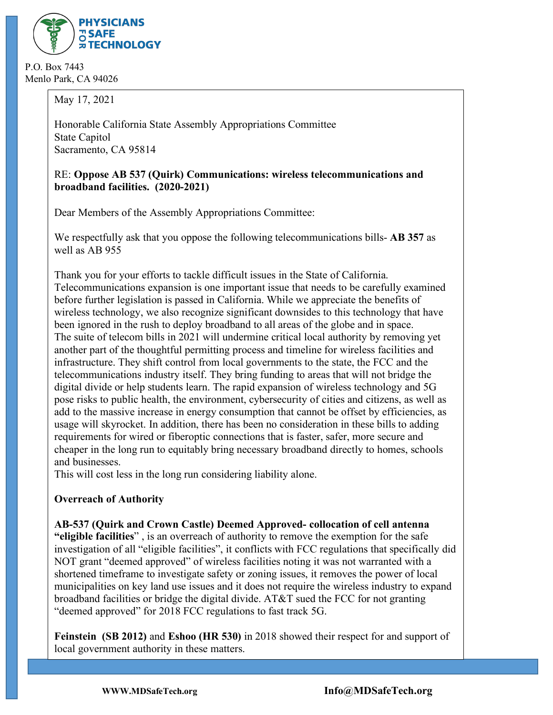

P.O. Box 7443 Menlo Park, CA 94026

May 17, 2021

Honorable California State Assembly Appropriations Committee State Capitol Sacramento, CA 95814

#### RE: **Oppose AB 537 (Quirk) Communications: wireless telecommunications and broadband facilities. (2020-2021)**

Dear Members of the Assembly Appropriations Committee:

We respectfully ask that you oppose the following telecommunications bills- **AB 357** as well as AB 955

Thank you for your efforts to tackle difficult issues in the State of California. Telecommunications expansion is one important issue that needs to be carefully examined before further legislation is passed in California. While we appreciate the benefits of wireless technology, we also recognize significant downsides to this technology that have been ignored in the rush to deploy broadband to all areas of the globe and in space. The suite of telecom bills in 2021 will undermine critical local authority by removing yet another part of the thoughtful permitting process and timeline for wireless facilities and infrastructure. They shift control from local governments to the state, the FCC and the telecommunications industry itself. They bring funding to areas that will not bridge the digital divide or help students learn. The rapid expansion of wireless technology and 5G pose risks to public health, the environment, cybersecurity of cities and citizens, as well as add to the massive increase in energy consumption that cannot be offset by efficiencies, as usage will skyrocket. In addition, there has been no consideration in these bills to adding requirements for wired or fiberoptic connections that is faster, safer, more secure and cheaper in the long run to equitably bring necessary broadband directly to homes, schools and businesses.

This will cost less in the long run considering liability alone.

# **Overreach of Authority**

**AB-537 (Quirk and Crown Castle) Deemed Approved- collocation of cell antenna** 

**"eligible facilities**" , is an overreach of authority to remove the exemption for the safe investigation of all "eligible facilities", it conflicts with FCC regulations that specifically did NOT grant "deemed approved" of wireless facilities noting it was not warranted with a shortened timeframe to investigate safety or zoning issues, it removes the power of local municipalities on key land use issues and it does not require the wireless industry to expand broadband facilities or bridge the digital divide. AT&T sued the FCC for not granting "deemed approved" for 2018 FCC regulations to fast track 5G.

**Feinstein (SB 2012)** and **Eshoo (HR 530)** in 2018 showed their respect for and support of local government authority in these matters.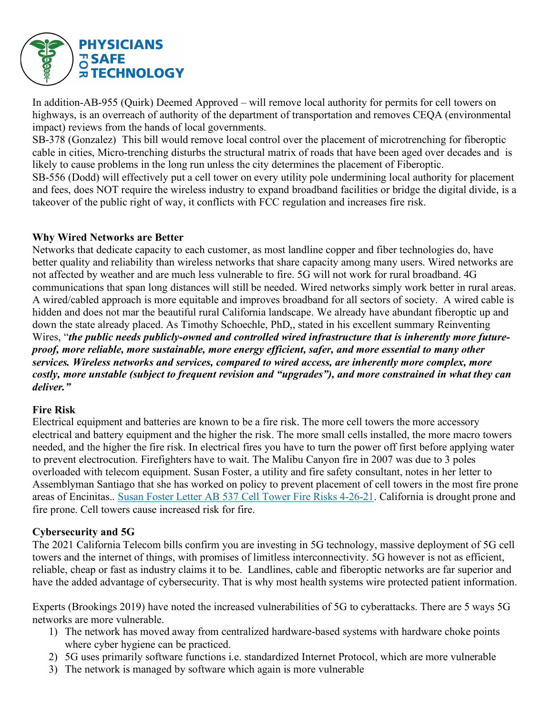

In addition-AB-955 (Quirk) Deemed Approved – will remove local authority for permits for cell towers on highways, is an overreach of authority of the department of transportation and removes CEQA (environmental impact) reviews from the hands of local governments.

SB-378 (Gonzalez) This bill would remove local control over the placement of microtrenching for fiberoptic cable in cities, Micro-trenching disturbs the structural matrix of roads that have been aged over decades and is likely to cause problems in the long run unless the city determines the placement of Fiberoptic.

SB-556 (Dodd) will effectively put a cell tower on every utility pole undermining local authority for placement and fees, does NOT require the wireless industry to expand broadband facilities or bridge the digital divide, is a takeover of the public right of way, it conflicts with FCC regulation and increases fire risk.

#### **Why Wired Networks are Better**

Networks that dedicate capacity to each customer, as most landline copper and fiber technologies do, have better quality and reliability than wireless networks that share capacity among many users. Wired networks are not affected by weather and are much less vulnerable to fire. 5G will not work for rural broadband. 4G communications that span long distances will still be needed. Wired networks simply work better in rural areas. A wired/cabled approach is more equitable and improves broadband for all sectors of society. A wired cable is hidden and does not mar the beautiful rural California landscape. We already have abundant fiberoptic up and down the state already placed. As Timothy Schoechle, PhD,, stated in his excellent summary Reinventing Wires, "*the public needs publicly-owned and controlled wired infrastructure that is inherently more futureproof, more reliable, more sustainable, more energy efficient, safer, and more essential to many other services. Wireless networks and services, compared to wired access, are inherently more complex, more costly, more unstable (subject to frequent revision and "upgrades"), and more constrained in what they can deliver."*

## **Fire Risk**

Electrical equipment and batteries are known to be a fire risk. The more cell towers the more accessory electrical and battery equipment and the higher the risk. The more small cells installed, the more macro towers needed, and the higher the fire risk. In electrical fires you have to turn the power off first before applying water to prevent electrocution. Firefighters have to wait. The Malibu Canyon fire in 2007 was due to 3 poles overloaded with telecom equipment. Susan Foster, a utility and fire safety consultant, notes in her letter to Assemblyman Santiago that she has worked on policy to prevent placement of cell towers in the most fire prone areas of Encinitas.. Susan Foster Letter AB 537 Cell Tower Fire Risks 4-26-21. California is drought prone and fire prone. Cell towers cause increased risk for fire.

## **Cybersecurity and 5G**

The 2021 California Telecom bills confirm you are investing in 5G technology, massive deployment of 5G cell towers and the internet of things, with promises of limitless interconnectivity. 5G however is not as efficient, reliable, cheap or fast as industry claims it to be. Landlines, cable and fiberoptic networks are far superior and have the added advantage of cybersecurity. That is why most health systems wire protected patient information.

Experts (Brookings 2019) have noted the increased vulnerabilities of 5G to cyberattacks. There are 5 ways 5G networks are more vulnerable.

- 1) The network has moved away from centralized hardware-based systems with hardware choke points where cyber hygiene can be practiced.
- 2) 5G uses primarily software functions i.e. standardized Internet Protocol, which are more vulnerable
- 3) The network is managed by software which again is more vulnerable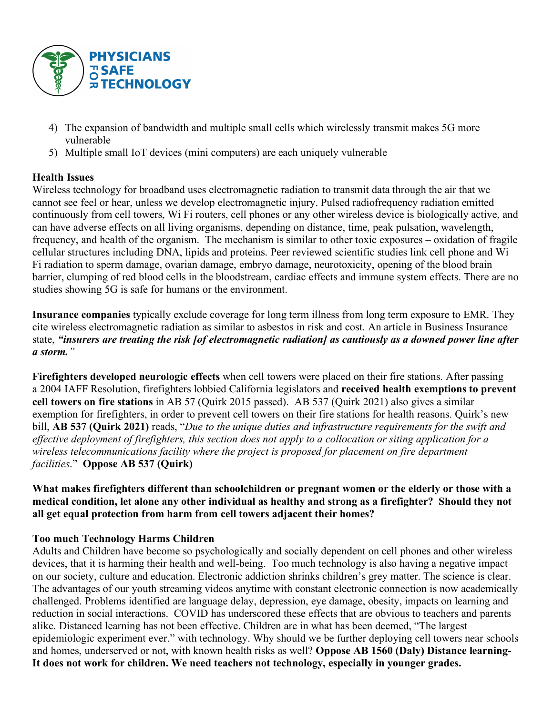

- 4) The expansion of bandwidth and multiple small cells which wirelessly transmit makes 5G more vulnerable
- 5) Multiple small IoT devices (mini computers) are each uniquely vulnerable

## **Health Issues**

Wireless technology for broadband uses electromagnetic radiation to transmit data through the air that we cannot see feel or hear, unless we develop electromagnetic injury. Pulsed radiofrequency radiation emitted continuously from cell towers, Wi Fi routers, cell phones or any other wireless device is biologically active, and can have adverse effects on all living organisms, depending on distance, time, peak pulsation, wavelength, frequency, and health of the organism. The mechanism is similar to other toxic exposures – oxidation of fragile cellular structures including DNA, lipids and proteins. Peer reviewed scientific studies link cell phone and Wi Fi radiation to sperm damage, ovarian damage, embryo damage, neurotoxicity, opening of the blood brain barrier, clumping of red blood cells in the bloodstream, cardiac effects and immune system effects. There are no studies showing 5G is safe for humans or the environment.

**Insurance companies** typically exclude coverage for long term illness from long term exposure to EMR. They cite wireless electromagnetic radiation as similar to asbestos in risk and cost. An article in Business Insurance state, *"insurers are treating the risk [of electromagnetic radiation] as cautiously as a downed power line after a storm."*

**Firefighters developed neurologic effects** when cell towers were placed on their fire stations. After passing a 2004 IAFF Resolution, firefighters lobbied California legislators and **received health exemptions to prevent cell towers on fire stations** in AB 57 (Quirk 2015 passed). AB 537 (Quirk 2021) also gives a similar exemption for firefighters, in order to prevent cell towers on their fire stations for health reasons. Quirk's new bill, **AB 537 (Quirk 2021)** reads, "*Due to the unique duties and infrastructure requirements for the swift and effective deployment of firefighters, this section does not apply to a collocation or siting application for a wireless telecommunications facility where the project is proposed for placement on fire department facilities*." **Oppose AB 537 (Quirk)**

**What makes firefighters different than schoolchildren or pregnant women or the elderly or those with a medical condition, let alone any other individual as healthy and strong as a firefighter? Should they not all get equal protection from harm from cell towers adjacent their homes?** 

## **Too much Technology Harms Children**

Adults and Children have become so psychologically and socially dependent on cell phones and other wireless devices, that it is harming their health and well-being. Too much technology is also having a negative impact on our society, culture and education. Electronic addiction shrinks children's grey matter. The science is clear. The advantages of our youth streaming videos anytime with constant electronic connection is now academically challenged. Problems identified are language delay, depression, eye damage, obesity, impacts on learning and reduction in social interactions. COVID has underscored these effects that are obvious to teachers and parents alike. Distanced learning has not been effective. Children are in what has been deemed, "The largest epidemiologic experiment ever." with technology. Why should we be further deploying cell towers near schools and homes, underserved or not, with known health risks as well? **Oppose AB 1560 (Daly) Distance learning-It does not work for children. We need teachers not technology, especially in younger grades.**